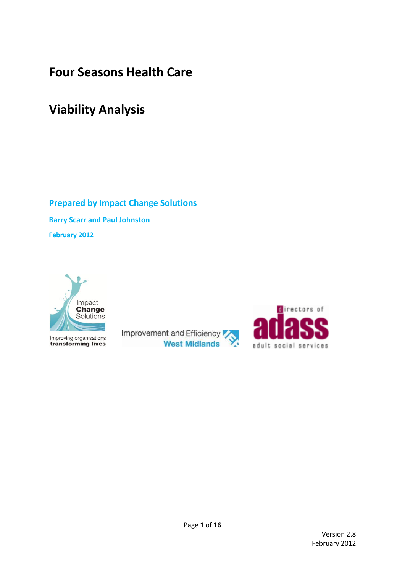# **Four Seasons Health Care**

# **Viability Analysis**

**Prepared by Impact Change Solutions Barry Scarr and Paul Johnston February 2012**



Improving organisations<br>**transforming lives** 

Improvement and Efficiency **West Midlands** 

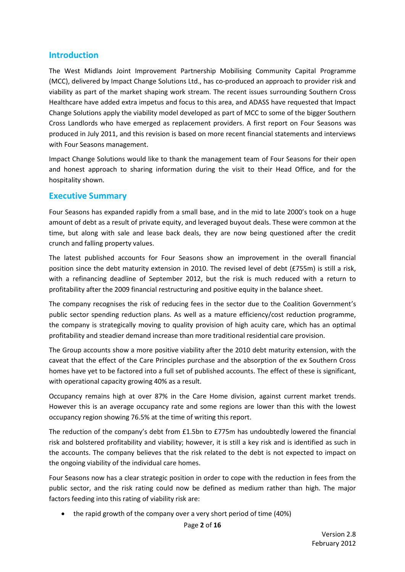### **Introduction**

The West Midlands Joint Improvement Partnership Mobilising Community Capital Programme (MCC), delivered by Impact Change Solutions Ltd., has co-produced an approach to provider risk and viability as part of the market shaping work stream. The recent issues surrounding Southern Cross Healthcare have added extra impetus and focus to this area, and ADASS have requested that Impact Change Solutions apply the viability model developed as part of MCC to some of the bigger Southern Cross Landlords who have emerged as replacement providers. A first report on Four Seasons was produced in July 2011, and this revision is based on more recent financial statements and interviews with Four Seasons management.

Impact Change Solutions would like to thank the management team of Four Seasons for their open and honest approach to sharing information during the visit to their Head Office, and for the hospitality shown.

### **Executive Summary**

Four Seasons has expanded rapidly from a small base, and in the mid to late 2000's took on a huge amount of debt as a result of private equity, and leveraged buyout deals. These were common at the time, but along with sale and lease back deals, they are now being questioned after the credit crunch and falling property values.

The latest published accounts for Four Seasons show an improvement in the overall financial position since the debt maturity extension in 2010. The revised level of debt (£755m) is still a risk, with a refinancing deadline of September 2012, but the risk is much reduced with a return to profitability after the 2009 financial restructuring and positive equity in the balance sheet.

The company recognises the risk of reducing fees in the sector due to the Coalition Government's public sector spending reduction plans. As well as a mature efficiency/cost reduction programme, the company is strategically moving to quality provision of high acuity care, which has an optimal profitability and steadier demand increase than more traditional residential care provision.

The Group accounts show a more positive viability after the 2010 debt maturity extension, with the caveat that the effect of the Care Principles purchase and the absorption of the ex Southern Cross homes have yet to be factored into a full set of published accounts. The effect of these is significant, with operational capacity growing 40% as a result.

Occupancy remains high at over 87% in the Care Home division, against current market trends. However this is an average occupancy rate and some regions are lower than this with the lowest occupancy region showing 76.5% at the time of writing this report.

The reduction of the company's debt from £1.5bn to £775m has undoubtedly lowered the financial risk and bolstered profitability and viability; however, it is still a key risk and is identified as such in the accounts. The company believes that the risk related to the debt is not expected to impact on the ongoing viability of the individual care homes.

Four Seasons now has a clear strategic position in order to cope with the reduction in fees from the public sector, and the risk rating could now be defined as medium rather than high. The major factors feeding into this rating of viability risk are:

• the rapid growth of the company over a very short period of time (40%)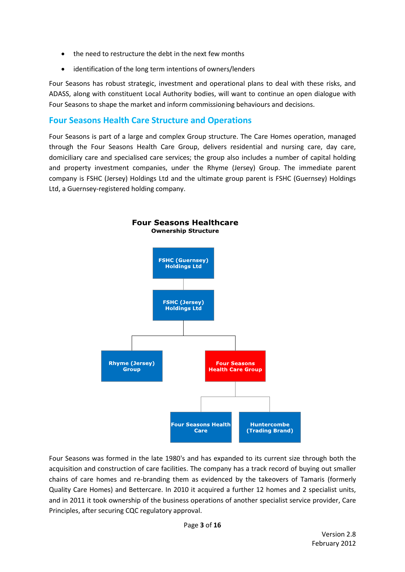- the need to restructure the debt in the next few months
- identification of the long term intentions of owners/lenders

Four Seasons has robust strategic, investment and operational plans to deal with these risks, and ADASS, along with constituent Local Authority bodies, will want to continue an open dialogue with Four Seasons to shape the market and inform commissioning behaviours and decisions.

### **Four Seasons Health Care Structure and Operations**

Four Seasons is part of a large and complex Group structure. The Care Homes operation, managed through the Four Seasons Health Care Group, delivers residential and nursing care, day care, domiciliary care and specialised care services; the group also includes a number of capital holding and property investment companies, under the Rhyme (Jersey) Group. The immediate parent company is FSHC (Jersey) Holdings Ltd and the ultimate group parent is FSHC (Guernsey) Holdings Ltd, a Guernsey-registered holding company.



Four Seasons was formed in the late 1980's and has expanded to its current size through both the acquisition and construction of care facilities. The company has a track record of buying out smaller chains of care homes and re-branding them as evidenced by the takeovers of Tamaris (formerly Quality Care Homes) and Bettercare. In 2010 it acquired a further 12 homes and 2 specialist units, and in 2011 it took ownership of the business operations of another specialist service provider, Care Principles, after securing CQC regulatory approval.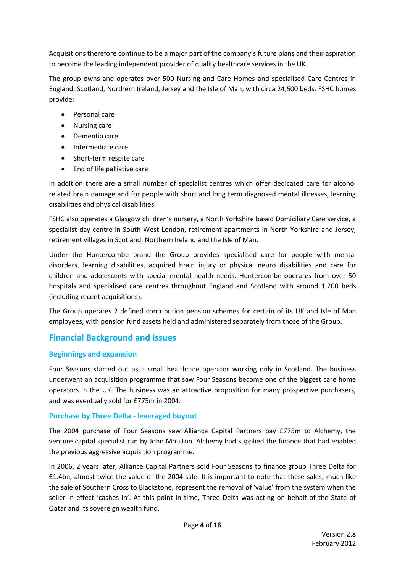Acquisitions therefore continue to be a major part of the company's future plans and their aspiration to become the leading independent provider of quality healthcare services in the UK.

The group owns and operates over 500 Nursing and Care Homes and specialised Care Centres in England, Scotland, Northern Ireland, Jersey and the Isle of Man, with circa 24,500 beds. FSHC homes provide:

- Personal care
- Nursing care
- Dementia care
- Intermediate care
- Short-term respite care
- End of life palliative care

In addition there are a small number of specialist centres which offer dedicated care for alcohol related brain damage and for people with short and long term diagnosed mental illnesses, learning disabilities and physical disabilities.

FSHC also operates a Glasgow children's nursery, a North Yorkshire based Domiciliary Care service, a specialist day centre in South West London, retirement apartments in North Yorkshire and Jersey, retirement villages in Scotland, Northern Ireland and the Isle of Man.

Under the Huntercombe brand the Group provides specialised care for people with mental disorders, learning disabilities, acquired brain injury or physical neuro disabilities and care for children and adolescents with special mental health needs. Huntercombe operates from over 50 hospitals and specialised care centres throughout England and Scotland with around 1,200 beds (including recent acquisitions).

The Group operates 2 defined contribution pension schemes for certain of its UK and Isle of Man employees, with pension fund assets held and administered separately from those of the Group.

### **Financial Background and Issues**

### **Beginnings and expansion**

Four Seasons started out as a small healthcare operator working only in Scotland. The business underwent an acquisition programme that saw Four Seasons become one of the biggest care home operators in the UK. The business was an attractive proposition for many prospective purchasers, and was eventually sold for £775m in 2004.

### **Purchase by Three Delta - leveraged buyout**

The 2004 purchase of Four Seasons saw Alliance Capital Partners pay £775m to Alchemy, the venture capital specialist run by John Moulton. Alchemy had supplied the finance that had enabled the previous aggressive acquisition programme.

In 2006, 2 years later, Alliance Capital Partners sold Four Seasons to finance group Three Delta for £1.4bn, almost twice the value of the 2004 sale. It is important to note that these sales, much like the sale of Southern Cross to Blackstone, represent the removal of 'value' from the system when the seller in effect 'cashes in'. At this point in time, Three Delta was acting on behalf of the State of Qatar and its sovereign wealth fund.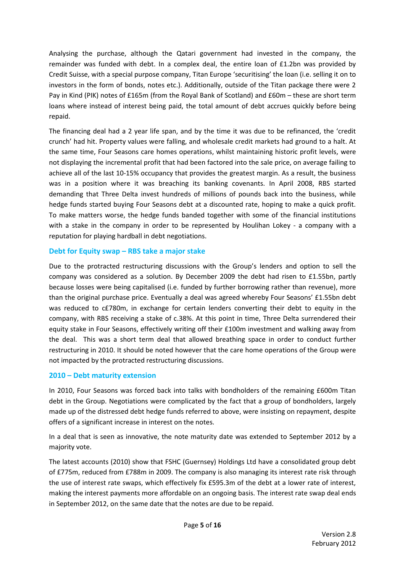Analysing the purchase, although the Qatari government had invested in the company, the remainder was funded with debt. In a complex deal, the entire loan of £1.2bn was provided by Credit Suisse, with a special purpose company, Titan Europe 'securitising' the loan (i.e. selling it on to investors in the form of bonds, notes etc.). Additionally, outside of the Titan package there were 2 Pay in Kind (PIK) notes of £165m (from the Royal Bank of Scotland) and £60m – these are short term loans where instead of interest being paid, the total amount of debt accrues quickly before being repaid.

The financing deal had a 2 year life span, and by the time it was due to be refinanced, the 'credit crunch' had hit. Property values were falling, and wholesale credit markets had ground to a halt. At the same time, Four Seasons care homes operations, whilst maintaining historic profit levels, were not displaying the incremental profit that had been factored into the sale price, on average failing to achieve all of the last 10-15% occupancy that provides the greatest margin. As a result, the business was in a position where it was breaching its banking covenants. In April 2008, RBS started demanding that Three Delta invest hundreds of millions of pounds back into the business, while hedge funds started buying Four Seasons debt at a discounted rate, hoping to make a quick profit. To make matters worse, the hedge funds banded together with some of the financial institutions with a stake in the company in order to be represented by Houlihan Lokey - a company with a reputation for playing hardball in debt negotiations.

#### **Debt for Equity swap – RBS take a major stake**

Due to the protracted restructuring discussions with the Group's lenders and option to sell the company was considered as a solution. By December 2009 the debt had risen to £1.55bn, partly because losses were being capitalised (i.e. funded by further borrowing rather than revenue), more than the original purchase price. Eventually a deal was agreed whereby Four Seasons' £1.55bn debt was reduced to c£780m, in exchange for certain lenders converting their debt to equity in the company, with RBS receiving a stake of c.38%. At this point in time, Three Delta surrendered their equity stake in Four Seasons, effectively writing off their £100m investment and walking away from the deal. This was a short term deal that allowed breathing space in order to conduct further restructuring in 2010. It should be noted however that the care home operations of the Group were not impacted by the protracted restructuring discussions.

### **2010 – Debt maturity extension**

In 2010, Four Seasons was forced back into talks with bondholders of the remaining £600m Titan debt in the Group. Negotiations were complicated by the fact that a group of bondholders, largely made up of the distressed debt hedge funds referred to above, were insisting on repayment, despite offers of a significant increase in interest on the notes.

In a deal that is seen as innovative, the note maturity date was extended to September 2012 by a majority vote.

The latest accounts (2010) show that FSHC (Guernsey) Holdings Ltd have a consolidated group debt of £775m, reduced from £788m in 2009. The company is also managing its interest rate risk through the use of interest rate swaps, which effectively fix £595.3m of the debt at a lower rate of interest, making the interest payments more affordable on an ongoing basis. The interest rate swap deal ends in September 2012, on the same date that the notes are due to be repaid.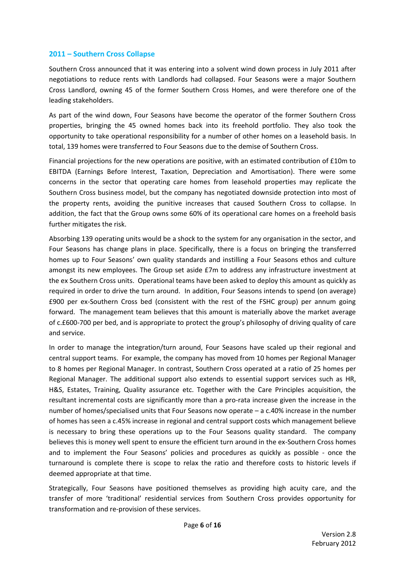#### **2011 – Southern Cross Collapse**

Southern Cross announced that it was entering into a solvent wind down process in July 2011 after negotiations to reduce rents with Landlords had collapsed. Four Seasons were a major Southern Cross Landlord, owning 45 of the former Southern Cross Homes, and were therefore one of the leading stakeholders.

As part of the wind down, Four Seasons have become the operator of the former Southern Cross properties, bringing the 45 owned homes back into its freehold portfolio. They also took the opportunity to take operational responsibility for a number of other homes on a leasehold basis. In total, 139 homes were transferred to Four Seasons due to the demise of Southern Cross.

Financial projections for the new operations are positive, with an estimated contribution of £10m to EBITDA (Earnings Before Interest, Taxation, Depreciation and Amortisation). There were some concerns in the sector that operating care homes from leasehold properties may replicate the Southern Cross business model, but the company has negotiated downside protection into most of the property rents, avoiding the punitive increases that caused Southern Cross to collapse. In addition, the fact that the Group owns some 60% of its operational care homes on a freehold basis further mitigates the risk.

Absorbing 139 operating units would be a shock to the system for any organisation in the sector, and Four Seasons has change plans in place. Specifically, there is a focus on bringing the transferred homes up to Four Seasons' own quality standards and instilling a Four Seasons ethos and culture amongst its new employees. The Group set aside £7m to address any infrastructure investment at the ex Southern Cross units. Operational teams have been asked to deploy this amount as quickly as required in order to drive the turn around. In addition, Four Seasons intends to spend (on average) £900 per ex-Southern Cross bed (consistent with the rest of the FSHC group) per annum going forward. The management team believes that this amount is materially above the market average of c.£600-700 per bed, and is appropriate to protect the group's philosophy of driving quality of care and service.

In order to manage the integration/turn around, Four Seasons have scaled up their regional and central support teams. For example, the company has moved from 10 homes per Regional Manager to 8 homes per Regional Manager. In contrast, Southern Cross operated at a ratio of 25 homes per Regional Manager. The additional support also extends to essential support services such as HR, H&S, Estates, Training, Quality assurance etc. Together with the Care Principles acquisition, the resultant incremental costs are significantly more than a pro-rata increase given the increase in the number of homes/specialised units that Four Seasons now operate – a c.40% increase in the number of homes has seen a c.45% increase in regional and central support costs which management believe is necessary to bring these operations up to the Four Seasons quality standard. The company believes this is money well spent to ensure the efficient turn around in the ex-Southern Cross homes and to implement the Four Seasons' policies and procedures as quickly as possible - once the turnaround is complete there is scope to relax the ratio and therefore costs to historic levels if deemed appropriate at that time.

Strategically, Four Seasons have positioned themselves as providing high acuity care, and the transfer of more 'traditional' residential services from Southern Cross provides opportunity for transformation and re-provision of these services.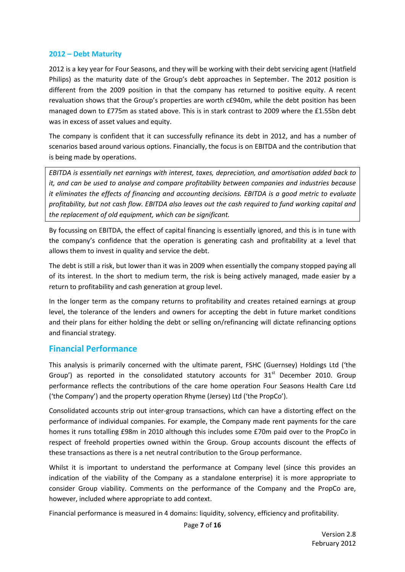#### **2012 – Debt Maturity**

2012 is a key year for Four Seasons, and they will be working with their debt servicing agent (Hatfield Philips) as the maturity date of the Group's debt approaches in September. The 2012 position is different from the 2009 position in that the company has returned to positive equity. A recent revaluation shows that the Group's properties are worth c£940m, while the debt position has been managed down to £775m as stated above. This is in stark contrast to 2009 where the £1.55bn debt was in excess of asset values and equity.

The company is confident that it can successfully refinance its debt in 2012, and has a number of scenarios based around various options. Financially, the focus is on EBITDA and the contribution that is being made by operations.

*EBITDA is essentially net earnings with interest, taxes, depreciation, and amortisation added back to it, and can be used to analyse and compare profitability between companies and industries because it eliminates the effects of financing and accounting decisions. EBITDA is a good metric to evaluate profitability, but not cash flow. EBITDA also leaves out the cash required to fund working capital and the replacement of old equipment, which can be significant.*

By focussing on EBITDA, the effect of capital financing is essentially ignored, and this is in tune with the company's confidence that the operation is generating cash and profitability at a level that allows them to invest in quality and service the debt.

The debt is still a risk, but lower than it was in 2009 when essentially the company stopped paying all of its interest. In the short to medium term, the risk is being actively managed, made easier by a return to profitability and cash generation at group level.

In the longer term as the company returns to profitability and creates retained earnings at group level, the tolerance of the lenders and owners for accepting the debt in future market conditions and their plans for either holding the debt or selling on/refinancing will dictate refinancing options and financial strategy.

### **Financial Performance**

This analysis is primarily concerned with the ultimate parent, FSHC (Guernsey) Holdings Ltd ('the Group') as reported in the consolidated statutory accounts for  $31<sup>st</sup>$  December 2010. Group performance reflects the contributions of the care home operation Four Seasons Health Care Ltd ('the Company') and the property operation Rhyme (Jersey) Ltd ('the PropCo').

Consolidated accounts strip out inter-group transactions, which can have a distorting effect on the performance of individual companies. For example, the Company made rent payments for the care homes it runs totalling £98m in 2010 although this includes some £70m paid over to the PropCo in respect of freehold properties owned within the Group. Group accounts discount the effects of these transactions as there is a net neutral contribution to the Group performance.

Whilst it is important to understand the performance at Company level (since this provides an indication of the viability of the Company as a standalone enterprise) it is more appropriate to consider Group viability. Comments on the performance of the Company and the PropCo are, however, included where appropriate to add context.

Financial performance is measured in 4 domains: liquidity, solvency, efficiency and profitability.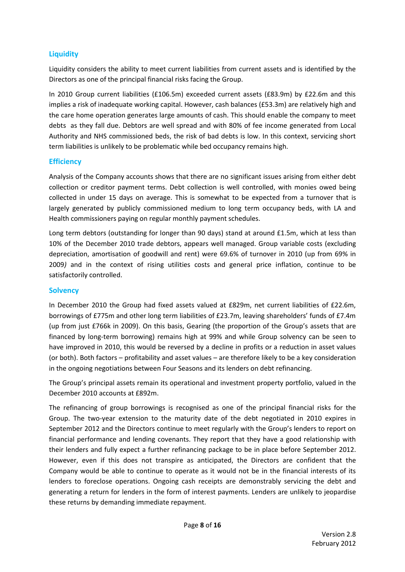### **Liquidity**

Liquidity considers the ability to meet current liabilities from current assets and is identified by the Directors as one of the principal financial risks facing the Group.

In 2010 Group current liabilities (£106.5m) exceeded current assets (£83.9m) by £22.6m and this implies a risk of inadequate working capital. However, cash balances (£53.3m) are relatively high and the care home operation generates large amounts of cash. This should enable the company to meet debts as they fall due. Debtors are well spread and with 80% of fee income generated from Local Authority and NHS commissioned beds, the risk of bad debts is low. In this context, servicing short term liabilities is unlikely to be problematic while bed occupancy remains high.

#### **Efficiency**

Analysis of the Company accounts shows that there are no significant issues arising from either debt collection or creditor payment terms. Debt collection is well controlled, with monies owed being collected in under 15 days on average. This is somewhat to be expected from a turnover that is largely generated by publicly commissioned medium to long term occupancy beds, with LA and Health commissioners paying on regular monthly payment schedules.

Long term debtors (outstanding for longer than 90 days) stand at around £1.5m, which at less than 10% of the December 2010 trade debtors, appears well managed. Group variable costs (excluding depreciation, amortisation of goodwill and rent) were 69.6% of turnover in 2010 (up from 69% in 2009*)* and in the context of rising utilities costs and general price inflation, continue to be satisfactorily controlled.

#### **Solvency**

In December 2010 the Group had fixed assets valued at £829m, net current liabilities of £22.6m, borrowings of £775m and other long term liabilities of £23.7m, leaving shareholders' funds of £7.4m (up from just £766k in 2009). On this basis, Gearing (the proportion of the Group's assets that are financed by long-term borrowing) remains high at 99% and while Group solvency can be seen to have improved in 2010, this would be reversed by a decline in profits or a reduction in asset values (or both). Both factors – profitability and asset values – are therefore likely to be a key consideration in the ongoing negotiations between Four Seasons and its lenders on debt refinancing.

The Group's principal assets remain its operational and investment property portfolio, valued in the December 2010 accounts at £892m.

The refinancing of group borrowings is recognised as one of the principal financial risks for the Group. The two-year extension to the maturity date of the debt negotiated in 2010 expires in September 2012 and the Directors continue to meet regularly with the Group's lenders to report on financial performance and lending covenants. They report that they have a good relationship with their lenders and fully expect a further refinancing package to be in place before September 2012. However, even if this does not transpire as anticipated, the Directors are confident that the Company would be able to continue to operate as it would not be in the financial interests of its lenders to foreclose operations. Ongoing cash receipts are demonstrably servicing the debt and generating a return for lenders in the form of interest payments. Lenders are unlikely to jeopardise these returns by demanding immediate repayment.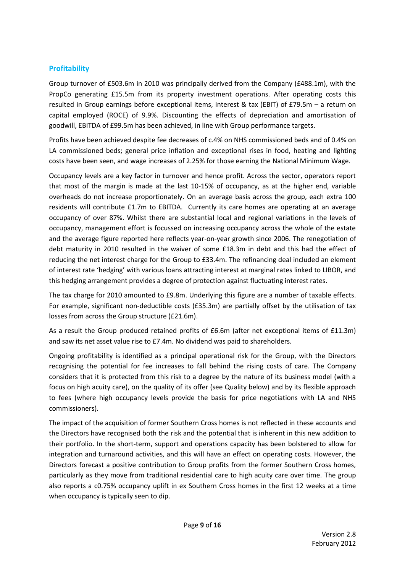### **Profitability**

Group turnover of £503.6m in 2010 was principally derived from the Company (£488.1m), with the PropCo generating £15.5m from its property investment operations. After operating costs this resulted in Group earnings before exceptional items, interest & tax (EBIT) of £79.5m – a return on capital employed (ROCE) of 9.9%. Discounting the effects of depreciation and amortisation of goodwill, EBITDA of £99.5m has been achieved, in line with Group performance targets.

Profits have been achieved despite fee decreases of c.4% on NHS commissioned beds and of 0.4% on LA commissioned beds; general price inflation and exceptional rises in food, heating and lighting costs have been seen, and wage increases of 2.25% for those earning the National Minimum Wage.

Occupancy levels are a key factor in turnover and hence profit. Across the sector, operators report that most of the margin is made at the last 10-15% of occupancy, as at the higher end, variable overheads do not increase proportionately. On an average basis across the group, each extra 100 residents will contribute £1.7m to EBITDA. Currently its care homes are operating at an average occupancy of over 87%. Whilst there are substantial local and regional variations in the levels of occupancy, management effort is focussed on increasing occupancy across the whole of the estate and the average figure reported here reflects year-on-year growth since 2006. The renegotiation of debt maturity in 2010 resulted in the waiver of some £18.3m in debt and this had the effect of reducing the net interest charge for the Group to £33.4m. The refinancing deal included an element of interest rate 'hedging' with various loans attracting interest at marginal rates linked to LIBOR, and this hedging arrangement provides a degree of protection against fluctuating interest rates.

The tax charge for 2010 amounted to £9.8m. Underlying this figure are a number of taxable effects. For example, significant non-deductible costs (£35.3m) are partially offset by the utilisation of tax losses from across the Group structure (£21.6m).

As a result the Group produced retained profits of £6.6m (after net exceptional items of £11.3m) and saw its net asset value rise to £7.4m. No dividend was paid to shareholders.

Ongoing profitability is identified as a principal operational risk for the Group, with the Directors recognising the potential for fee increases to fall behind the rising costs of care. The Company considers that it is protected from this risk to a degree by the nature of its business model (with a focus on high acuity care), on the quality of its offer (see Quality below) and by its flexible approach to fees (where high occupancy levels provide the basis for price negotiations with LA and NHS commissioners).

The impact of the acquisition of former Southern Cross homes is not reflected in these accounts and the Directors have recognised both the risk and the potential that is inherent in this new addition to their portfolio. In the short-term, support and operations capacity has been bolstered to allow for integration and turnaround activities, and this will have an effect on operating costs. However, the Directors forecast a positive contribution to Group profits from the former Southern Cross homes, particularly as they move from traditional residential care to high acuity care over time. The group also reports a c0.75% occupancy uplift in ex Southern Cross homes in the first 12 weeks at a time when occupancy is typically seen to dip.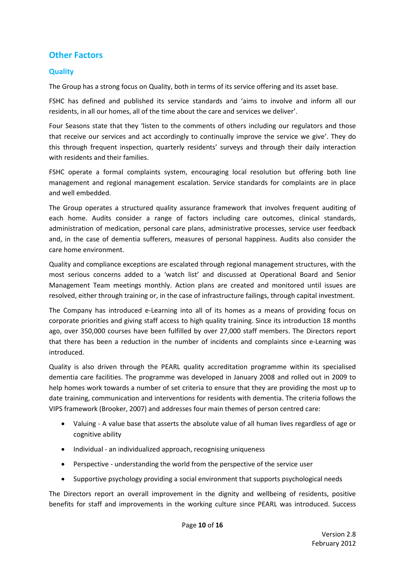### **Other Factors**

### **Quality**

The Group has a strong focus on Quality, both in terms of its service offering and its asset base.

FSHC has defined and published its service standards and 'aims to involve and inform all our residents, in all our homes, all of the time about the care and services we deliver'.

Four Seasons state that they 'listen to the comments of others including our regulators and those that receive our services and act accordingly to continually improve the service we give'. They do this through frequent inspection, quarterly residents' surveys and through their daily interaction with residents and their families.

FSHC operate a formal complaints system, encouraging local resolution but offering both line management and regional management escalation. Service standards for complaints are in place and well embedded.

The Group operates a structured quality assurance framework that involves frequent auditing of each home. Audits consider a range of factors including care outcomes, clinical standards, administration of medication, personal care plans, administrative processes, service user feedback and, in the case of dementia sufferers, measures of personal happiness. Audits also consider the care home environment.

Quality and compliance exceptions are escalated through regional management structures, with the most serious concerns added to a 'watch list' and discussed at Operational Board and Senior Management Team meetings monthly. Action plans are created and monitored until issues are resolved, either through training or, in the case of infrastructure failings, through capital investment.

The Company has introduced e-Learning into all of its homes as a means of providing focus on corporate priorities and giving staff access to high quality training. Since its introduction 18 months ago, over 350,000 courses have been fulfilled by over 27,000 staff members. The Directors report that there has been a reduction in the number of incidents and complaints since e-Learning was introduced.

Quality is also driven through the PEARL quality accreditation programme within its specialised dementia care facilities. The programme was developed in January 2008 and rolled out in 2009 to help homes work towards a number of set criteria to ensure that they are providing the most up to date training, communication and interventions for residents with dementia. The criteria follows the VIPS framework (Brooker, 2007) and addresses four main themes of person centred care:

- Valuing A value base that asserts the absolute value of all human lives regardless of age or cognitive ability
- Individual an individualized approach, recognising uniqueness
- Perspective understanding the world from the perspective of the service user
- Supportive psychology providing a social environment that supports psychological needs

The Directors report an overall improvement in the dignity and wellbeing of residents, positive benefits for staff and improvements in the working culture since PEARL was introduced. Success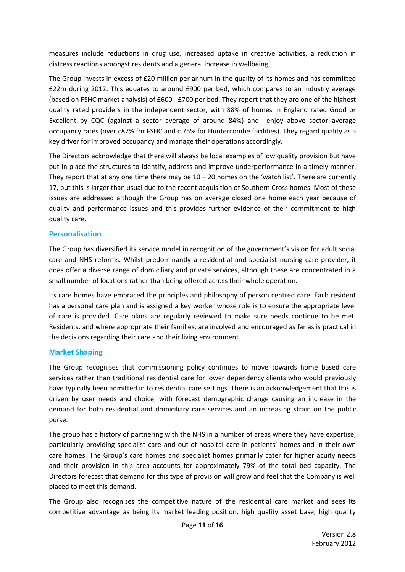measures include reductions in drug use, increased uptake in creative activities, a reduction in distress reactions amongst residents and a general increase in wellbeing.

The Group invests in excess of £20 million per annum in the quality of its homes and has committed £22m during 2012. This equates to around £900 per bed, which compares to an industry average (based on FSHC market analysis) of £600 - £700 per bed. They report that they are one of the highest quality rated providers in the independent sector, with 88% of homes in England rated Good or Excellent by CQC (against a sector average of around 84%) and enjoy above sector average occupancy rates (over c87% for FSHC and c.75% for Huntercombe facilities). They regard quality as a key driver for improved occupancy and manage their operations accordingly.

The Directors acknowledge that there will always be local examples of low quality provision but have put in place the structures to identify, address and improve underperformance in a timely manner. They report that at any one time there may be  $10 - 20$  homes on the 'watch list'. There are currently 17, but this is larger than usual due to the recent acquisition of Southern Cross homes. Most of these issues are addressed although the Group has on average closed one home each year because of quality and performance issues and this provides further evidence of their commitment to high quality care.

#### **Personalisation**

The Group has diversified its service model in recognition of the government's vision for adult social care and NHS reforms. Whilst predominantly a residential and specialist nursing care provider, it does offer a diverse range of domiciliary and private services, although these are concentrated in a small number of locations rather than being offered across their whole operation.

Its care homes have embraced the principles and philosophy of person centred care. Each resident has a personal care plan and is assigned a key worker whose role is to ensure the appropriate level of care is provided. Care plans are regularly reviewed to make sure needs continue to be met. Residents, and where appropriate their families, are involved and encouraged as far as is practical in the decisions regarding their care and their living environment.

#### **Market Shaping**

The Group recognises that commissioning policy continues to move towards home based care services rather than traditional residential care for lower dependency clients who would previously have typically been admitted in to residential care settings. There is an acknowledgement that this is driven by user needs and choice, with forecast demographic change causing an increase in the demand for both residential and domiciliary care services and an increasing strain on the public purse.

The group has a history of partnering with the NHS in a number of areas where they have expertise, particularly providing specialist care and out-of-hospital care in patients' homes and in their own care homes. The Group's care homes and specialist homes primarily cater for higher acuity needs and their provision in this area accounts for approximately 79% of the total bed capacity. The Directors forecast that demand for this type of provision will grow and feel that the Company is well placed to meet this demand.

The Group also recognises the competitive nature of the residential care market and sees its competitive advantage as being its market leading position, high quality asset base, high quality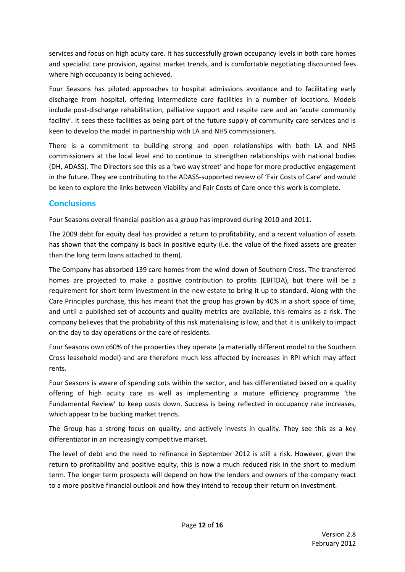services and focus on high acuity care. It has successfully grown occupancy levels in both care homes and specialist care provision, against market trends, and is comfortable negotiating discounted fees where high occupancy is being achieved.

Four Seasons has piloted approaches to hospital admissions avoidance and to facilitating early discharge from hospital, offering intermediate care facilities in a number of locations. Models include post-discharge rehabilitation, palliative support and respite care and an 'acute community facility'. It sees these facilities as being part of the future supply of community care services and is keen to develop the model in partnership with LA and NHS commissioners.

There is a commitment to building strong and open relationships with both LA and NHS commissioners at the local level and to continue to strengthen relationships with national bodies (DH, ADASS). The Directors see this as a 'two way street' and hope for more productive engagement in the future. They are contributing to the ADASS-supported review of 'Fair Costs of Care' and would be keen to explore the links between Viability and Fair Costs of Care once this work is complete.

### **Conclusions**

Four Seasons overall financial position as a group has improved during 2010 and 2011.

The 2009 debt for equity deal has provided a return to profitability, and a recent valuation of assets has shown that the company is back in positive equity (i.e. the value of the fixed assets are greater than the long term loans attached to them).

The Company has absorbed 139 care homes from the wind down of Southern Cross. The transferred homes are projected to make a positive contribution to profits (EBITDA), but there will be a requirement for short term investment in the new estate to bring it up to standard. Along with the Care Principles purchase, this has meant that the group has grown by 40% in a short space of time, and until a published set of accounts and quality metrics are available, this remains as a risk. The company believes that the probability of this risk materialising is low, and that it is unlikely to impact on the day to day operations or the care of residents.

Four Seasons own c60% of the properties they operate (a materially different model to the Southern Cross leasehold model) and are therefore much less affected by increases in RPI which may affect rents.

Four Seasons is aware of spending cuts within the sector, and has differentiated based on a quality offering of high acuity care as well as implementing a mature efficiency programme 'the Fundamental Review' to keep costs down. Success is being reflected in occupancy rate increases, which appear to be bucking market trends.

The Group has a strong focus on quality, and actively invests in quality. They see this as a key differentiator in an increasingly competitive market.

The level of debt and the need to refinance in September 2012 is still a risk. However, given the return to profitability and positive equity, this is now a much reduced risk in the short to medium term. The longer term prospects will depend on how the lenders and owners of the company react to a more positive financial outlook and how they intend to recoup their return on investment.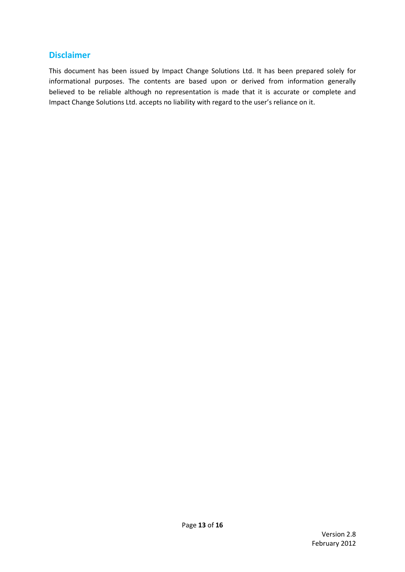### **Disclaimer**

This document has been issued by Impact Change Solutions Ltd. It has been prepared solely for informational purposes. The contents are based upon or derived from information generally believed to be reliable although no representation is made that it is accurate or complete and Impact Change Solutions Ltd. accepts no liability with regard to the user's reliance on it.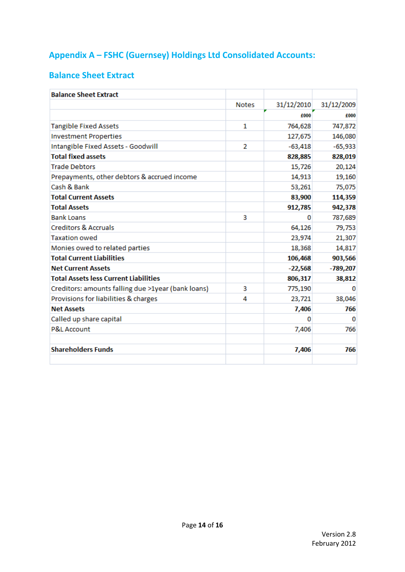# **Appendix A – FSHC (Guernsey) Holdings Ltd Consolidated Accounts:**

### **Balance Sheet Extract**

| 31/12/2010<br><b>Notes</b><br>£000<br>1<br>764,628<br>127,675<br>2 | 31/12/2009<br>£000<br>747,872<br>146,080                                                                   |
|--------------------------------------------------------------------|------------------------------------------------------------------------------------------------------------|
|                                                                    |                                                                                                            |
|                                                                    |                                                                                                            |
|                                                                    |                                                                                                            |
|                                                                    |                                                                                                            |
|                                                                    | $-65,933$                                                                                                  |
|                                                                    | 828,019                                                                                                    |
|                                                                    | 20,124                                                                                                     |
| 14,913                                                             | 19,160                                                                                                     |
| 53,261                                                             | 75,075                                                                                                     |
|                                                                    | 114,359                                                                                                    |
|                                                                    | 942,378                                                                                                    |
| 3<br>Ω                                                             | 787,689                                                                                                    |
|                                                                    | 79,753                                                                                                     |
| 23,974                                                             | 21,307                                                                                                     |
|                                                                    | 14,817                                                                                                     |
|                                                                    | 903,566                                                                                                    |
|                                                                    | -789,207                                                                                                   |
| 806,317                                                            | 38,812                                                                                                     |
| 3                                                                  | o                                                                                                          |
| 4<br>23,721                                                        | 38,046                                                                                                     |
| 7,406                                                              | 766                                                                                                        |
| o                                                                  | 0                                                                                                          |
| 7,406                                                              | 766                                                                                                        |
| 7,406                                                              | 766                                                                                                        |
|                                                                    | $-63,418$<br>828,885<br>15,726<br>83,900<br>912,785<br>64,126<br>18,368<br>106,468<br>$-22,568$<br>775,190 |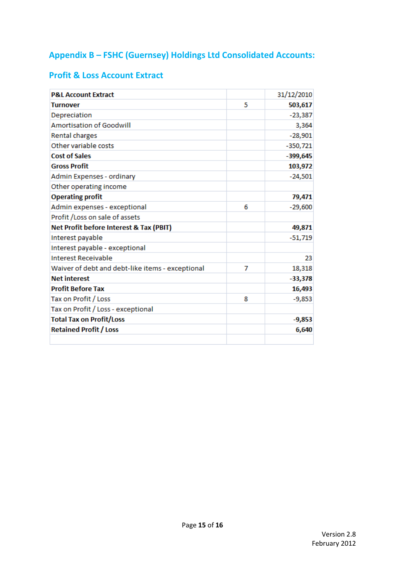# **Appendix B – FSHC (Guernsey) Holdings Ltd Consolidated Accounts:**

### **Profit & Loss Account Extract**

| <b>P&amp;L Account Extract</b>                   |   | 31/12/2010 |
|--------------------------------------------------|---|------------|
| <b>Turnover</b>                                  | 5 | 503,617    |
| Depreciation                                     |   | $-23,387$  |
| <b>Amortisation of Goodwill</b>                  |   | 3,364      |
| Rental charges                                   |   | $-28,901$  |
| Other variable costs                             |   | $-350,721$ |
| <b>Cost of Sales</b>                             |   | $-399,645$ |
| <b>Gross Profit</b>                              |   | 103,972    |
| Admin Expenses - ordinary                        |   | $-24,501$  |
| Other operating income                           |   |            |
| <b>Operating profit</b>                          |   | 79,471     |
| Admin expenses - exceptional                     | 6 | $-29,600$  |
| Profit / Loss on sale of assets                  |   |            |
| Net Profit before Interest & Tax (PBIT)          |   | 49,871     |
| Interest payable                                 |   | $-51,719$  |
| Interest payable - exceptional                   |   |            |
| Interest Receivable                              |   | 23         |
| Waiver of debt and debt-like items - exceptional | 7 | 18,318     |
| <b>Net interest</b>                              |   | $-33,378$  |
| <b>Profit Before Tax</b>                         |   | 16,493     |
| Tax on Profit / Loss                             | 8 | $-9,853$   |
| Tax on Profit / Loss - exceptional               |   |            |
| <b>Total Tax on Profit/Loss</b>                  |   | $-9,853$   |
| <b>Retained Profit / Loss</b>                    |   | 6,640      |
|                                                  |   |            |